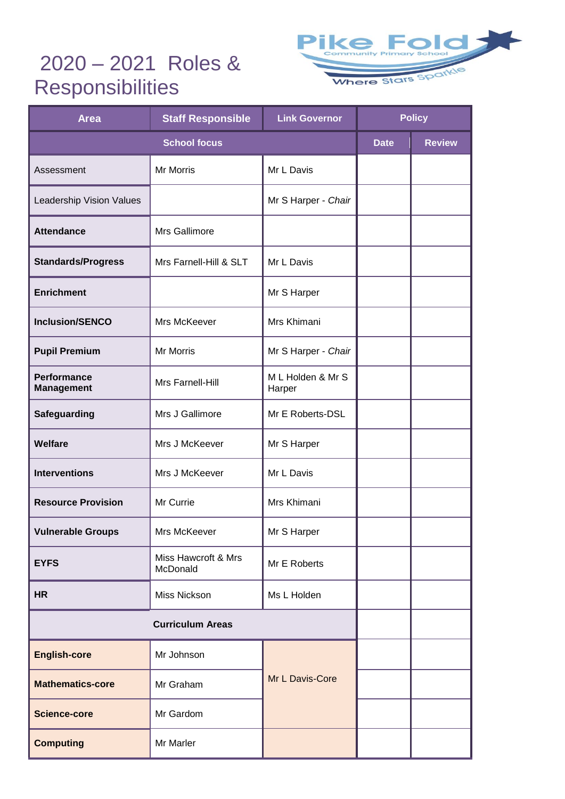## 2020 – 2021 Roles & **Responsibilities**



| <b>Area</b>                             | <b>Staff Responsible</b>        | <b>Link Governor</b>        | <b>Policy</b> |               |
|-----------------------------------------|---------------------------------|-----------------------------|---------------|---------------|
| <b>School focus</b>                     |                                 |                             | <b>Date</b>   | <b>Review</b> |
| Assessment                              | Mr Morris                       | Mr L Davis                  |               |               |
| Leadership Vision Values                |                                 | Mr S Harper - Chair         |               |               |
| <b>Attendance</b>                       | Mrs Gallimore                   |                             |               |               |
| <b>Standards/Progress</b>               | Mrs Farnell-Hill & SLT          | Mr L Davis                  |               |               |
| <b>Enrichment</b>                       |                                 | Mr S Harper                 |               |               |
| <b>Inclusion/SENCO</b>                  | Mrs McKeever                    | Mrs Khimani                 |               |               |
| <b>Pupil Premium</b>                    | Mr Morris                       | Mr S Harper - Chair         |               |               |
| <b>Performance</b><br><b>Management</b> | Mrs Farnell-Hill                | M L Holden & Mr S<br>Harper |               |               |
| Safeguarding                            | Mrs J Gallimore                 | Mr E Roberts-DSL            |               |               |
| Welfare                                 | Mrs J McKeever                  | Mr S Harper                 |               |               |
| <b>Interventions</b>                    | Mrs J McKeever                  | Mr L Davis                  |               |               |
| <b>Resource Provision</b>               | Mr Currie                       | Mrs Khimani                 |               |               |
| <b>Vulnerable Groups</b>                | Mrs McKeever                    | Mr S Harper                 |               |               |
| <b>EYFS</b>                             | Miss Hawcroft & Mrs<br>McDonald | Mr E Roberts                |               |               |
| <b>HR</b>                               | Miss Nickson                    | Ms L Holden                 |               |               |
| <b>Curriculum Areas</b>                 |                                 |                             |               |               |
| <b>English-core</b>                     | Mr Johnson                      | Mr L Davis-Core             |               |               |
| <b>Mathematics-core</b>                 | Mr Graham                       |                             |               |               |
| <b>Science-core</b>                     | Mr Gardom                       |                             |               |               |
| <b>Computing</b>                        | Mr Marler                       |                             |               |               |